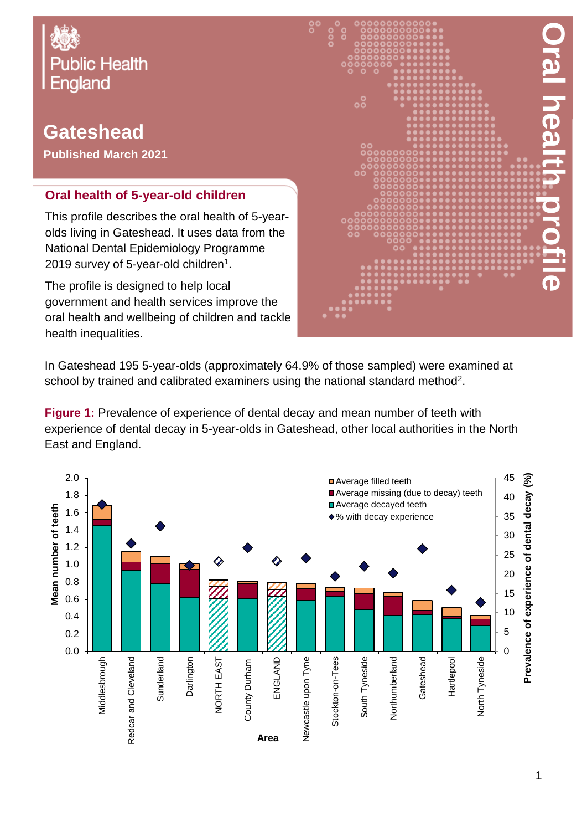

## **Gateshead**

**Published March 2021**

## **Oral health of 5-year-old children**

This profile describes the oral health of 5-yearolds living in Gateshead. It uses data from the National Dental Epidemiology Programme 2019 survey of 5-year-old children $^{\rm 1}.$ 

The profile is designed to help local government and health services improve the oral health and wellbeing of children and tackle health inequalities.



In Gateshead 195 5-year-olds (approximately 64.9% of those sampled) were examined at school by trained and calibrated examiners using the national standard method<sup>2</sup>.

**Figure 1:** Prevalence of experience of dental decay and mean number of teeth with experience of dental decay in 5-year-olds in Gateshead, other local authorities in the North East and England.

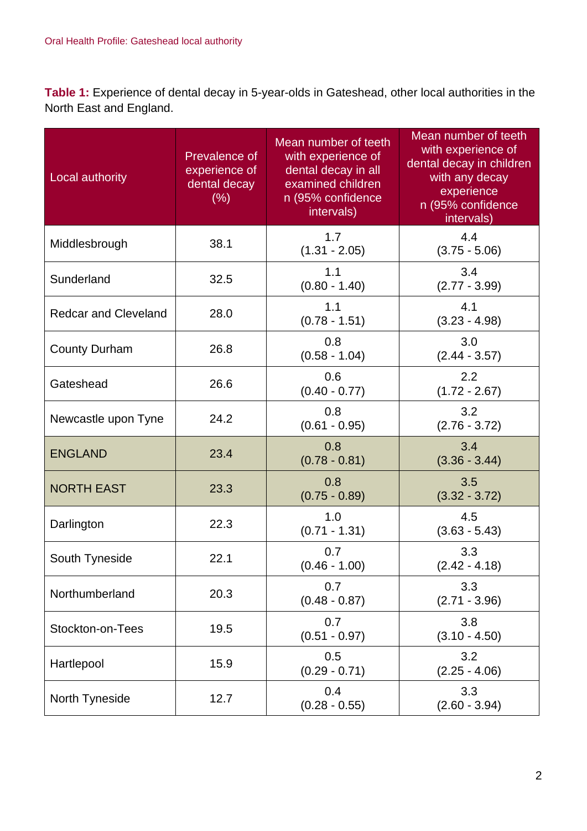**Table 1:** Experience of dental decay in 5-year-olds in Gateshead, other local authorities in the North East and England.

| Local authority             | Prevalence of<br>experience of<br>dental decay<br>(% ) | Mean number of teeth<br>with experience of<br>dental decay in all<br>examined children<br>n (95% confidence<br>intervals) | Mean number of teeth<br>with experience of<br>dental decay in children<br>with any decay<br>experience<br>n (95% confidence<br>intervals) |
|-----------------------------|--------------------------------------------------------|---------------------------------------------------------------------------------------------------------------------------|-------------------------------------------------------------------------------------------------------------------------------------------|
| Middlesbrough               | 38.1                                                   | 1.7<br>$(1.31 - 2.05)$                                                                                                    | 4.4<br>$(3.75 - 5.06)$                                                                                                                    |
| Sunderland                  | 32.5                                                   | 1.1<br>$(0.80 - 1.40)$                                                                                                    | 3.4<br>$(2.77 - 3.99)$                                                                                                                    |
| <b>Redcar and Cleveland</b> | 28.0                                                   | 1.1<br>$(0.78 - 1.51)$                                                                                                    | 4.1<br>$(3.23 - 4.98)$                                                                                                                    |
| <b>County Durham</b>        | 26.8                                                   | 0.8<br>$(0.58 - 1.04)$                                                                                                    | 3.0<br>$(2.44 - 3.57)$                                                                                                                    |
| Gateshead                   | 26.6                                                   | 0.6<br>$(0.40 - 0.77)$                                                                                                    | 2.2<br>$(1.72 - 2.67)$                                                                                                                    |
| Newcastle upon Tyne         | 24.2                                                   | 0.8<br>$(0.61 - 0.95)$                                                                                                    | 3.2<br>$(2.76 - 3.72)$                                                                                                                    |
| <b>ENGLAND</b>              | 23.4                                                   | 0.8<br>$(0.78 - 0.81)$                                                                                                    | 3.4<br>$(3.36 - 3.44)$                                                                                                                    |
| <b>NORTH EAST</b>           | 23.3                                                   | 0.8<br>$(0.75 - 0.89)$                                                                                                    | 3.5<br>$(3.32 - 3.72)$                                                                                                                    |
| Darlington                  | 22.3                                                   | 1.0<br>$(0.71 - 1.31)$                                                                                                    | 4.5<br>$(3.63 - 5.43)$                                                                                                                    |
| South Tyneside              | 22.1                                                   | 0.7<br>$(0.46 - 1.00)$                                                                                                    | 3.3<br>$(2.42 - 4.18)$                                                                                                                    |
| Northumberland              | 20.3                                                   | 0.7<br>$(0.48 - 0.87)$                                                                                                    | 3.3<br>$(2.71 - 3.96)$                                                                                                                    |
| Stockton-on-Tees            | 19.5                                                   | 0.7<br>$(0.51 - 0.97)$                                                                                                    | 3.8<br>$(3.10 - 4.50)$                                                                                                                    |
| Hartlepool                  | 15.9                                                   | 0.5<br>$(0.29 - 0.71)$                                                                                                    | 3.2<br>$(2.25 - 4.06)$                                                                                                                    |
| North Tyneside              | 12.7                                                   | 0.4<br>$(0.28 - 0.55)$                                                                                                    | 3.3<br>$(2.60 - 3.94)$                                                                                                                    |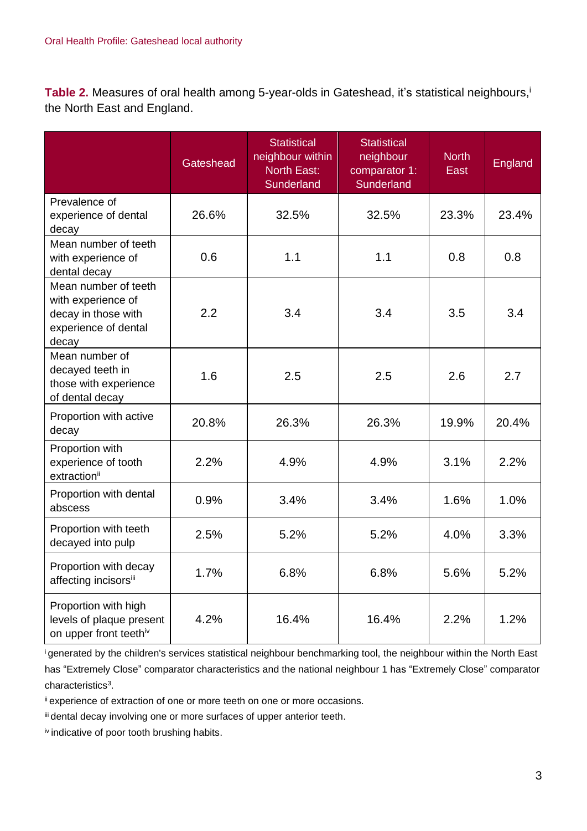Table 2. Measures of oral health among 5-year-olds in Gateshead, it's statistical neighbours, the North East and England.

|                                                                                                    | <b>Gateshead</b> | <b>Statistical</b><br>neighbour within<br><b>North East:</b><br>Sunderland | Statistical<br>neighbour<br>comparator 1:<br>Sunderland | <b>North</b><br>East | <b>England</b> |
|----------------------------------------------------------------------------------------------------|------------------|----------------------------------------------------------------------------|---------------------------------------------------------|----------------------|----------------|
| Prevalence of<br>experience of dental<br>decay                                                     | 26.6%            | 32.5%                                                                      | 32.5%                                                   | 23.3%                | 23.4%          |
| Mean number of teeth<br>with experience of<br>dental decay                                         | 0.6              | 1.1                                                                        | 1.1                                                     | 0.8                  | 0.8            |
| Mean number of teeth<br>with experience of<br>decay in those with<br>experience of dental<br>decay | 2.2              | 3.4                                                                        | 3.4                                                     | 3.5                  | 3.4            |
| Mean number of<br>decayed teeth in<br>those with experience<br>of dental decay                     | 1.6              | 2.5                                                                        | 2.5                                                     | 2.6                  | 2.7            |
| Proportion with active<br>decay                                                                    | 20.8%            | 26.3%                                                                      | 26.3%                                                   | 19.9%                | 20.4%          |
| Proportion with<br>experience of tooth<br>extractionii                                             | 2.2%             | 4.9%                                                                       | 4.9%                                                    | 3.1%                 | 2.2%           |
| Proportion with dental<br>abscess                                                                  | 0.9%             | 3.4%                                                                       | 3.4%                                                    | 1.6%                 | 1.0%           |
| Proportion with teeth<br>decayed into pulp                                                         | 2.5%             | 5.2%                                                                       | 5.2%                                                    | 4.0%                 | 3.3%           |
| Proportion with decay<br>affecting incisorsii                                                      | 1.7%             | 6.8%                                                                       | 6.8%                                                    | 5.6%                 | 5.2%           |
| Proportion with high<br>levels of plaque present<br>on upper front teethiv                         | 4.2%             | 16.4%                                                                      | 16.4%                                                   | 2.2%                 | 1.2%           |

<sup>i</sup>generated by the children's services statistical neighbour benchmarking tool, the neighbour within the North East has "Extremely Close" comparator characteristics and the national neighbour 1 has "Extremely Close" comparator characteristics<sup>3</sup>.

ii experience of extraction of one or more teeth on one or more occasions.

iii dental decay involving one or more surfaces of upper anterior teeth.

iv indicative of poor tooth brushing habits.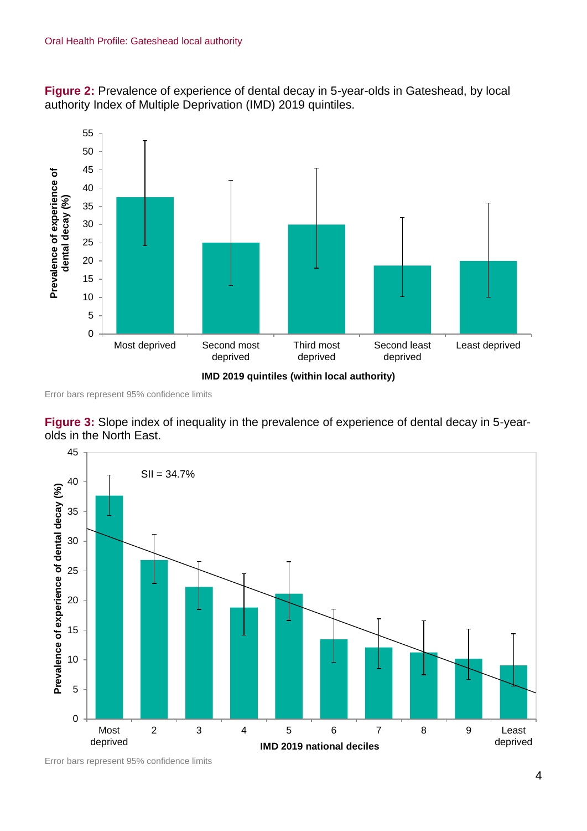**Figure 2:** Prevalence of experience of dental decay in 5-year-olds in Gateshead, by local authority Index of Multiple Deprivation (IMD) 2019 quintiles.



Error bars represent 95% confidence limits





Error bars represent 95% confidence limits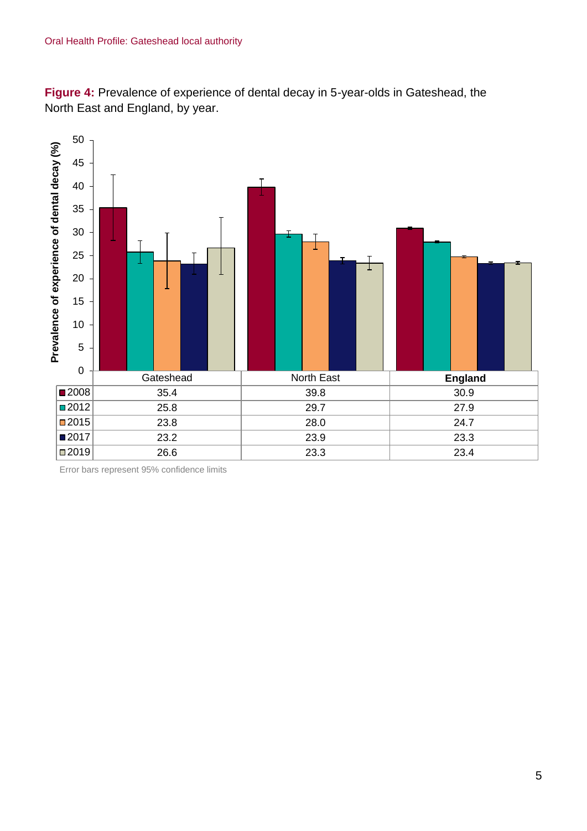**Figure 4:** Prevalence of experience of dental decay in 5-year-olds in Gateshead, the North East and England, by year.



Error bars represent 95% confidence limits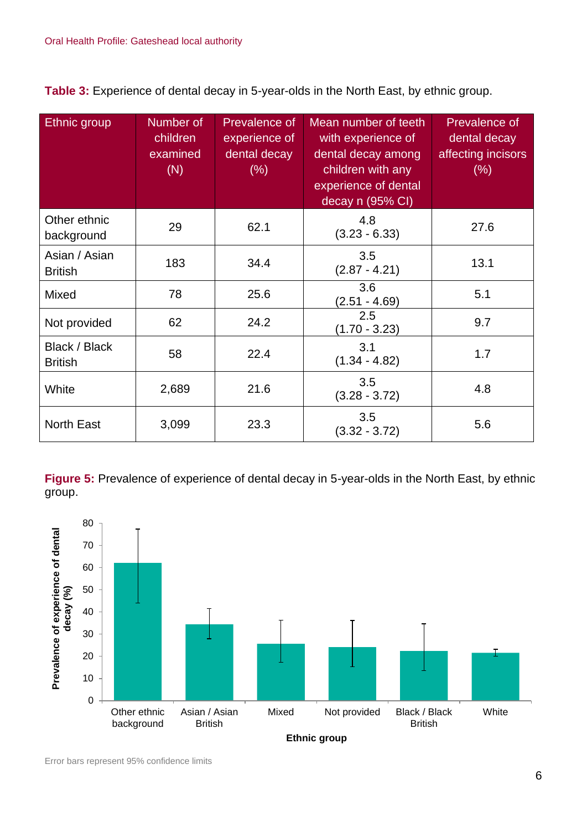**Table 3:** Experience of dental decay in 5-year-olds in the North East, by ethnic group.

| <b>Ethnic</b> group             | Number of<br>children<br>examined<br>(N) | <b>Prevalence of</b><br>experience of<br>dental decay<br>$(\% )$ | Mean number of teeth<br>with experience of<br>dental decay among<br>children with any<br>experience of dental<br>decay n (95% CI) | <b>Prevalence of</b><br>dental decay<br>affecting incisors<br>(% ) |
|---------------------------------|------------------------------------------|------------------------------------------------------------------|-----------------------------------------------------------------------------------------------------------------------------------|--------------------------------------------------------------------|
| Other ethnic<br>background      | 29                                       | 62.1                                                             | 4.8<br>$(3.23 - 6.33)$                                                                                                            | 27.6                                                               |
| Asian / Asian<br><b>British</b> | 183                                      | 34.4                                                             | 3.5<br>$(2.87 - 4.21)$                                                                                                            | 13.1                                                               |
| Mixed                           | 78                                       | 25.6                                                             | 3.6<br>$(2.51 - 4.69)$                                                                                                            | 5.1                                                                |
| Not provided                    | 62                                       | 24.2                                                             | 2.5<br>$(1.70 - 3.23)$                                                                                                            | 9.7                                                                |
| Black / Black<br><b>British</b> | 58                                       | 22.4                                                             | 3.1<br>$(1.34 - 4.82)$                                                                                                            | 1.7                                                                |
| White                           | 2,689                                    | 21.6                                                             | 3.5<br>$(3.28 - 3.72)$                                                                                                            | 4.8                                                                |
| <b>North East</b>               | 3,099                                    | 23.3                                                             | 3.5<br>$(3.32 - 3.72)$                                                                                                            | 5.6                                                                |

**Figure 5:** Prevalence of experience of dental decay in 5-year-olds in the North East, by ethnic group.

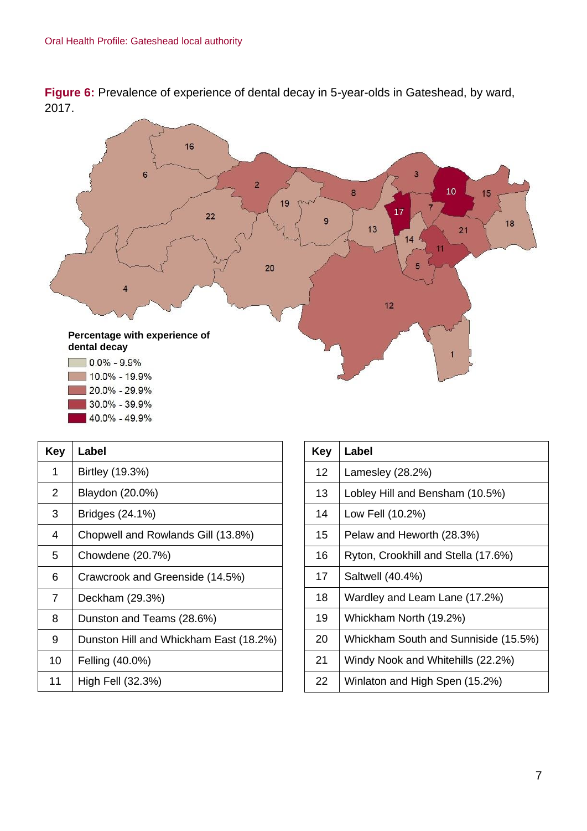**Figure 6:** Prevalence of experience of dental decay in 5-year-olds in Gateshead, by ward, 2017.



40.0% - 49.9%

| Key | Label                                  |
|-----|----------------------------------------|
| 1   | Birtley (19.3%)                        |
| 2   | Blaydon (20.0%)                        |
| 3   | Bridges (24.1%)                        |
| 4   | Chopwell and Rowlands Gill (13.8%)     |
| 5   | Chowdene (20.7%)                       |
| 6   | Crawcrook and Greenside (14.5%)        |
| 7   | Deckham (29.3%)                        |
| 8   | Dunston and Teams (28.6%)              |
| 9   | Dunston Hill and Whickham East (18.2%) |
| 10  | Felling (40.0%)                        |
| 11  | High Fell (32.3%)                      |

| Key | Label                                |
|-----|--------------------------------------|
| 12  | Lamesley (28.2%)                     |
| 13  | Lobley Hill and Bensham (10.5%)      |
| 14  | Low Fell (10.2%)                     |
| 15  | Pelaw and Heworth (28.3%)            |
| 16  | Ryton, Crookhill and Stella (17.6%)  |
| 17  | Saltwell (40.4%)                     |
| 18  | Wardley and Leam Lane (17.2%)        |
| 19  | Whickham North (19.2%)               |
| 20  | Whickham South and Sunniside (15.5%) |
| 21  | Windy Nook and Whitehills (22.2%)    |
| 22  | Winlaton and High Spen (15.2%)       |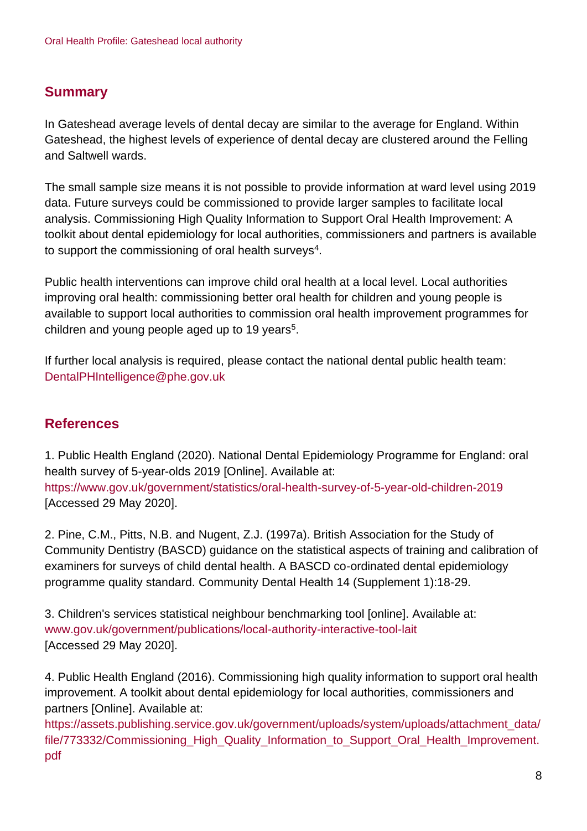## **Summary**

In Gateshead average levels of dental decay are similar to the average for England. Within Gateshead, the highest levels of experience of dental decay are clustered around the Felling and Saltwell wards.

The small sample size means it is not possible to provide information at ward level using 2019 data. Future surveys could be commissioned to provide larger samples to facilitate local analysis. Commissioning High Quality Information to Support Oral Health Improvement: A toolkit about dental epidemiology for local authorities, commissioners and partners is available to support the commissioning of oral health surveys $^4$ .

Public health interventions can improve child oral health at a local level. Local authorities improving oral health: commissioning better oral health for children and young people is available to support local authorities to commission oral health improvement programmes for children and young people aged up to 19 years<sup>5</sup>.

If further local analysis is required, please contact the national dental public health team: DentalPHIntelligence@phe.gov.uk

## **References**

1. Public Health England (2020). National Dental Epidemiology Programme for England: oral health survey of 5-year-olds 2019 [Online]. Available at: <https://www.gov.uk/government/statistics/oral-health-survey-of-5-year-old-children-2019> [Accessed 29 May 2020].

2. Pine, C.M., Pitts, N.B. and Nugent, Z.J. (1997a). British Association for the Study of Community Dentistry (BASCD) guidance on the statistical aspects of training and calibration of examiners for surveys of child dental health. A BASCD co-ordinated dental epidemiology programme quality standard. Community Dental Health 14 (Supplement 1):18-29.

3. Children's services statistical neighbour benchmarking tool [online]. Available at: [www.gov.uk/government/publications/local-authority-interactive-tool-lait](http://www.gov.uk/government/publications/local-authority-interactive-tool-lait) [Accessed 29 May 2020].

4. Public Health England (2016). Commissioning high quality information to support oral health improvement. A toolkit about dental epidemiology for local authorities, commissioners and partners [Online]. Available at:

[https://assets.publishing.service.gov.uk/government/uploads/system/uploads/attachment\\_data/](https://assets.publishing.service.gov.uk/government/uploads/system/uploads/attachment_data/file/773332/Commissioning_High_Quality_Information_to_Support_Oral_Health_Improvement.pdf) [file/773332/Commissioning\\_High\\_Quality\\_Information\\_to\\_Support\\_Oral\\_Health\\_Improvement.](https://assets.publishing.service.gov.uk/government/uploads/system/uploads/attachment_data/file/773332/Commissioning_High_Quality_Information_to_Support_Oral_Health_Improvement.pdf) [pdf](https://assets.publishing.service.gov.uk/government/uploads/system/uploads/attachment_data/file/773332/Commissioning_High_Quality_Information_to_Support_Oral_Health_Improvement.pdf)